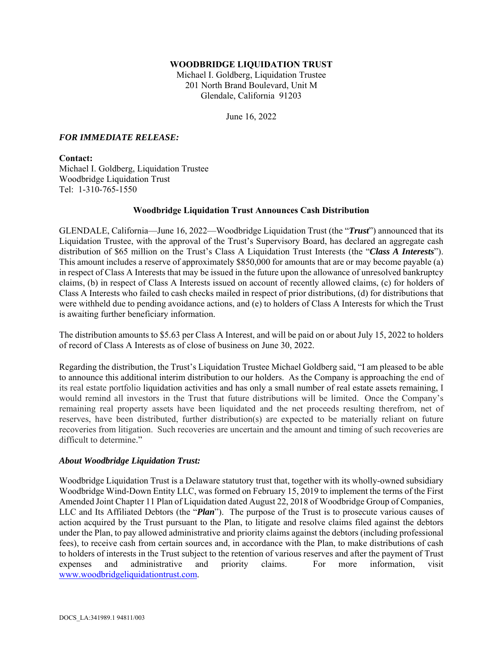#### **WOODBRIDGE LIQUIDATION TRUST**

Michael I. Goldberg, Liquidation Trustee 201 North Brand Boulevard, Unit M Glendale, California 91203

June 16, 2022

#### *FOR IMMEDIATE RELEASE:*

# **Contact:**

Michael I. Goldberg, Liquidation Trustee Woodbridge Liquidation Trust Tel: 1-310-765-1550

## **Woodbridge Liquidation Trust Announces Cash Distribution**

GLENDALE, California—June 16, 2022—Woodbridge Liquidation Trust (the "*Trust*") announced that its Liquidation Trustee, with the approval of the Trust's Supervisory Board, has declared an aggregate cash distribution of \$65 million on the Trust's Class A Liquidation Trust Interests (the "*Class A Interests*"). This amount includes a reserve of approximately \$850,000 for amounts that are or may become payable (a) in respect of Class A Interests that may be issued in the future upon the allowance of unresolved bankruptcy claims, (b) in respect of Class A Interests issued on account of recently allowed claims, (c) for holders of Class A Interests who failed to cash checks mailed in respect of prior distributions, (d) for distributions that were withheld due to pending avoidance actions, and (e) to holders of Class A Interests for which the Trust is awaiting further beneficiary information.

The distribution amounts to \$5.63 per Class A Interest, and will be paid on or about July 15, 2022 to holders of record of Class A Interests as of close of business on June 30, 2022.

Regarding the distribution, the Trust's Liquidation Trustee Michael Goldberg said, "I am pleased to be able to announce this additional interim distribution to our holders. As the Company is approaching the end of its real estate portfolio liquidation activities and has only a small number of real estate assets remaining, I would remind all investors in the Trust that future distributions will be limited. Once the Company's remaining real property assets have been liquidated and the net proceeds resulting therefrom, net of reserves, have been distributed, further distribution(s) are expected to be materially reliant on future recoveries from litigation. Such recoveries are uncertain and the amount and timing of such recoveries are difficult to determine."

## *About Woodbridge Liquidation Trust:*

Woodbridge Liquidation Trust is a Delaware statutory trust that, together with its wholly-owned subsidiary Woodbridge Wind-Down Entity LLC, was formed on February 15, 2019 to implement the terms of the First Amended Joint Chapter 11 Plan of Liquidation dated August 22, 2018 of Woodbridge Group of Companies, LLC and Its Affiliated Debtors (the "*Plan*"). The purpose of the Trust is to prosecute various causes of action acquired by the Trust pursuant to the Plan, to litigate and resolve claims filed against the debtors under the Plan, to pay allowed administrative and priority claims against the debtors (including professional fees), to receive cash from certain sources and, in accordance with the Plan, to make distributions of cash to holders of interests in the Trust subject to the retention of various reserves and after the payment of Trust expenses and administrative and priority claims. For more information, visit www.woodbridgeliquidationtrust.com.